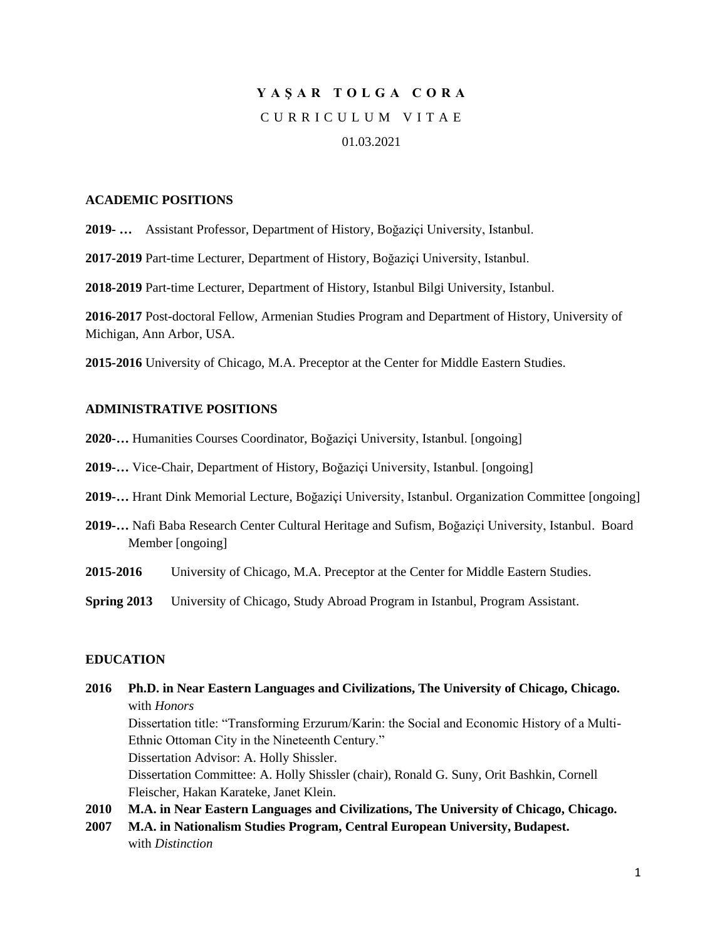# **Y A Ş A R T O L G A C O R A** C U R R I C U L U M V I T A E

## 01.03.2021

#### **ACADEMIC POSITIONS**

**2019- …** Assistant Professor, Department of History, Boğaziçi University, Istanbul.

**2017-2019** Part-time Lecturer, Department of History, Boğaziçi University, Istanbul.

**2018-2019** Part-time Lecturer, Department of History, Istanbul Bilgi University, Istanbul.

**2016-2017** Post-doctoral Fellow, Armenian Studies Program and Department of History, University of Michigan, Ann Arbor, USA.

**2015-2016** University of Chicago, M.A. Preceptor at the Center for Middle Eastern Studies.

## **ADMINISTRATIVE POSITIONS**

- **2020-…** Humanities Courses Coordinator, Boğaziçi University, Istanbul. [ongoing]
- **2019-…** Vice-Chair, Department of History, Boğaziçi University, Istanbul. [ongoing]
- **2019-…** Hrant Dink Memorial Lecture, Boğaziçi University, Istanbul. Organization Committee [ongoing]
- **2019-…** Nafi Baba Research Center Cultural Heritage and Sufism, Boğaziçi University, Istanbul. Board Member [ongoing]
- **2015-2016** University of Chicago, M.A. Preceptor at the Center for Middle Eastern Studies.
- **Spring 2013** University of Chicago, Study Abroad Program in Istanbul, Program Assistant.

## **EDUCATION**

**2016 Ph.D. in Near Eastern Languages and Civilizations, The University of Chicago, Chicago.** with *Honors* Dissertation title: "Transforming Erzurum/Karin: the Social and Economic History of a Multi-Ethnic Ottoman City in the Nineteenth Century."

Dissertation Advisor: A. Holly Shissler. Dissertation Committee: A. Holly Shissler (chair), Ronald G. Suny, Orit Bashkin, Cornell

Fleischer, Hakan Karateke, Janet Klein.

**2010 M.A. in Near Eastern Languages and Civilizations, The University of Chicago, Chicago. 2007 M.A. in Nationalism Studies Program, Central European University, Budapest.**

with *Distinction*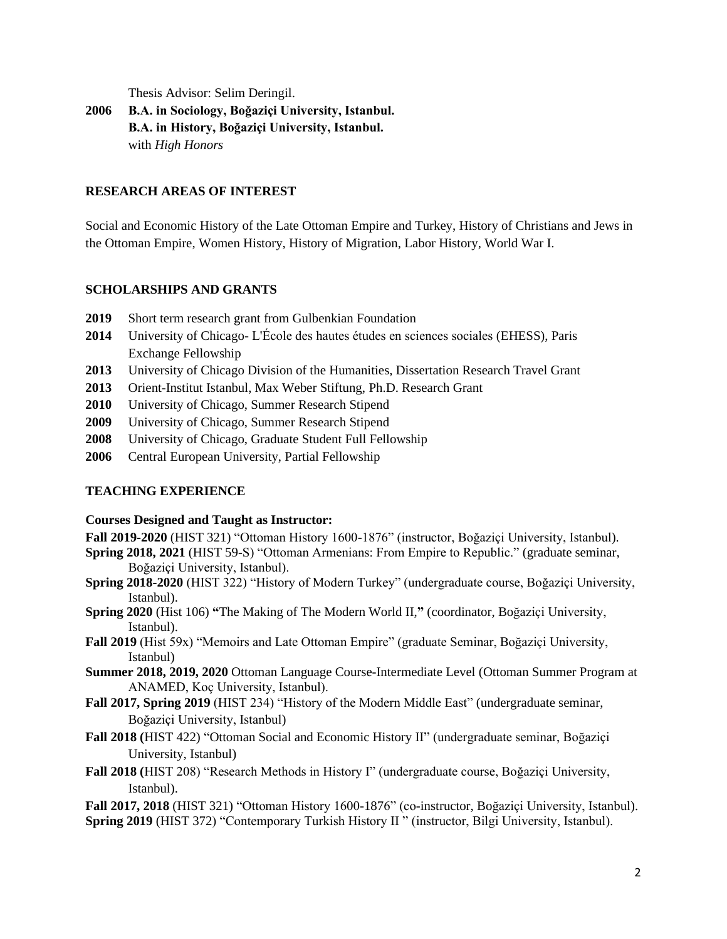Thesis Advisor: Selim Deringil.

**2006 B.A. in Sociology, Boğaziçi University, Istanbul. B.A. in History, Boğaziçi University, Istanbul.** with *High Honors*

## **RESEARCH AREAS OF INTEREST**

Social and Economic History of the Late Ottoman Empire and Turkey, History of Christians and Jews in the Ottoman Empire, Women History, History of Migration, Labor History, World War I.

## **SCHOLARSHIPS AND GRANTS**

- **2019** Short term research grant from Gulbenkian Foundation
- **2014** University of Chicago- L'École des hautes études en sciences sociales (EHESS), Paris Exchange Fellowship
- **2013** University of Chicago Division of the Humanities, Dissertation Research Travel Grant
- **2013** Orient-Institut Istanbul, Max Weber Stiftung, Ph.D. Research Grant
- **2010** University of Chicago, Summer Research Stipend
- **2009** University of Chicago, Summer Research Stipend
- **2008** University of Chicago, Graduate Student Full Fellowship
- **2006** Central European University, Partial Fellowship

# **TEACHING EXPERIENCE**

## **Courses Designed and Taught as Instructor:**

- **Fall 2019-2020** (HIST 321) "Ottoman History 1600-1876" (instructor, Boğaziçi University, Istanbul).
- **Spring 2018, 2021** (HIST 59-S) "Ottoman Armenians: From Empire to Republic." (graduate seminar, Boğaziçi University, Istanbul).
- **Spring 2018-2020** (HIST 322) "History of Modern Turkey" (undergraduate course, Boğaziçi University, Istanbul).
- **Spring 2020** (Hist 106) **"**The Making of The Modern World II,**"** (coordinator, Boğaziçi University, Istanbul).
- **Fall 2019** (Hist 59x) "Memoirs and Late Ottoman Empire" (graduate Seminar, Boğaziçi University, Istanbul)
- **Summer 2018, 2019, 2020** Ottoman Language Course-Intermediate Level (Ottoman Summer Program at ANAMED, Koç University, Istanbul).
- **Fall 2017, Spring 2019** (HIST 234) "History of the Modern Middle East" (undergraduate seminar, Boğaziçi University, Istanbul)
- **Fall 2018 (**HIST 422) "Ottoman Social and Economic History II" (undergraduate seminar, Boğaziçi University, Istanbul)
- **Fall 2018 (**HIST 208) "Research Methods in History I" (undergraduate course, Boğaziçi University, Istanbul).

**Fall 2017, 2018** (HIST 321) "Ottoman History 1600-1876" (co-instructor, Boğaziçi University, Istanbul). **Spring 2019** (HIST 372) "Contemporary Turkish History II " (instructor, Bilgi University, Istanbul).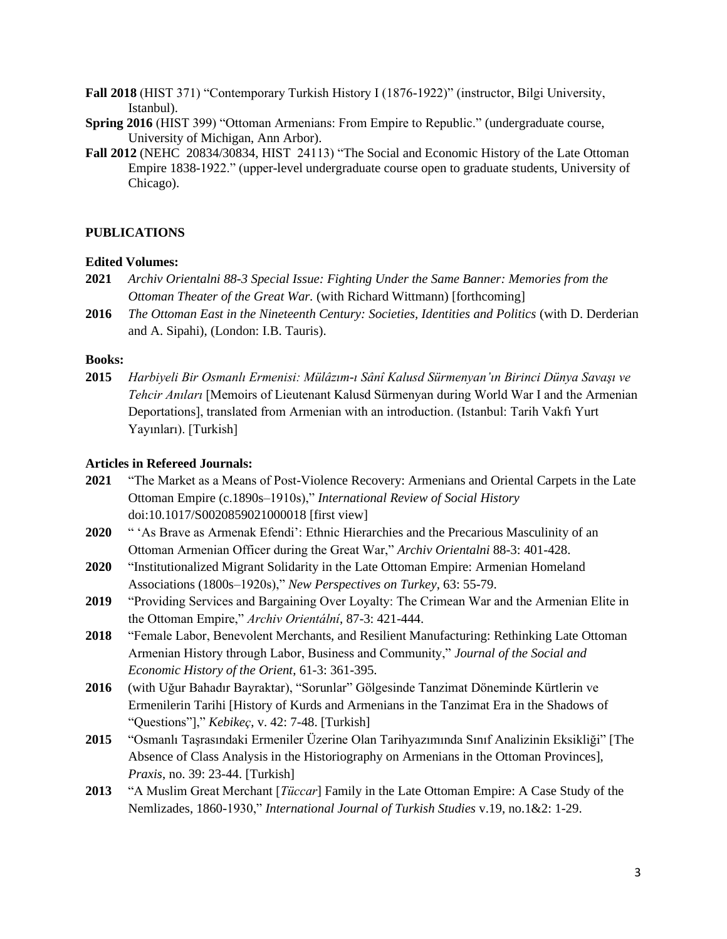**Fall 2018** (HIST 371) "Contemporary Turkish History I (1876-1922)" (instructor, Bilgi University, Istanbul).

- **Spring 2016** (HIST 399) "Ottoman Armenians: From Empire to Republic." (undergraduate course, University of Michigan, Ann Arbor).
- **Fall 2012** (NEHC 20834/30834, HIST 24113) "The Social and Economic History of the Late Ottoman Empire 1838-1922." (upper-level undergraduate course open to graduate students, University of Chicago).

#### **PUBLICATIONS**

## **Edited Volumes:**

- **2021** *Archiv Orientalni 88-3 Special Issue: Fighting Under the Same Banner: Memories from the Ottoman Theater of the Great War.* (with Richard Wittmann) [forthcoming]
- **2016** *The Ottoman East in the Nineteenth Century: Societies, Identities and Politics* (with D. Derderian and A. Sipahi), (London: I.B. Tauris).

#### **Books:**

**2015** *Harbiyeli Bir Osmanlı Ermenisi: Mülâzım-ı Sânî Kalusd Sürmenyan'ın Birinci Dünya Savaşı ve Tehcir Anıları* [Memoirs of Lieutenant Kalusd Sürmenyan during World War I and the Armenian Deportations], translated from Armenian with an introduction. (Istanbul: Tarih Vakfı Yurt Yayınları). [Turkish]

#### **Articles in Refereed Journals:**

- **2021** "The Market as a Means of Post-Violence Recovery: Armenians and Oriental Carpets in the Late Ottoman Empire (c.1890s–1910s)," *International Review of Social History* doi:10.1017/S0020859021000018 [first view]
- **2020** " 'As Brave as Armenak Efendi': Ethnic Hierarchies and the Precarious Masculinity of an Ottoman Armenian Officer during the Great War," *Archiv Orientalni* 88-3: 401-428.
- **2020** "Institutionalized Migrant Solidarity in the Late Ottoman Empire: Armenian Homeland Associations (1800s–1920s)," *New Perspectives on Turkey*, 63: 55-79.
- **2019** "Providing Services and Bargaining Over Loyalty: The Crimean War and the Armenian Elite in the Ottoman Empire," *Archiv Orientální*, 87-3: 421-444.
- **2018** "Female Labor, Benevolent Merchants, and Resilient Manufacturing: Rethinking Late Ottoman Armenian History through Labor, Business and Community," *Journal of the Social and Economic History of the Orient*, 61-3: 361-395.
- **2016** (with Uğur Bahadır Bayraktar), "Sorunlar" Gölgesinde Tanzimat Döneminde Kürtlerin ve Ermenilerin Tarihi [History of Kurds and Armenians in the Tanzimat Era in the Shadows of "Questions"]," *Kebikeç*, v. 42: 7-48. [Turkish]
- **2015** "Osmanlı Taşrasındaki Ermeniler Üzerine Olan Tarihyazımında Sınıf Analizinin Eksikliği" [The Absence of Class Analysis in the Historiography on Armenians in the Ottoman Provinces], *Praxis*, no. 39: 23-44. [Turkish]
- **2013** "A Muslim Great Merchant [*Tüccar*] Family in the Late Ottoman Empire: A Case Study of the Nemlizades, 1860-1930," *International Journal of Turkish Studies* v.19, no.1&2: 1-29.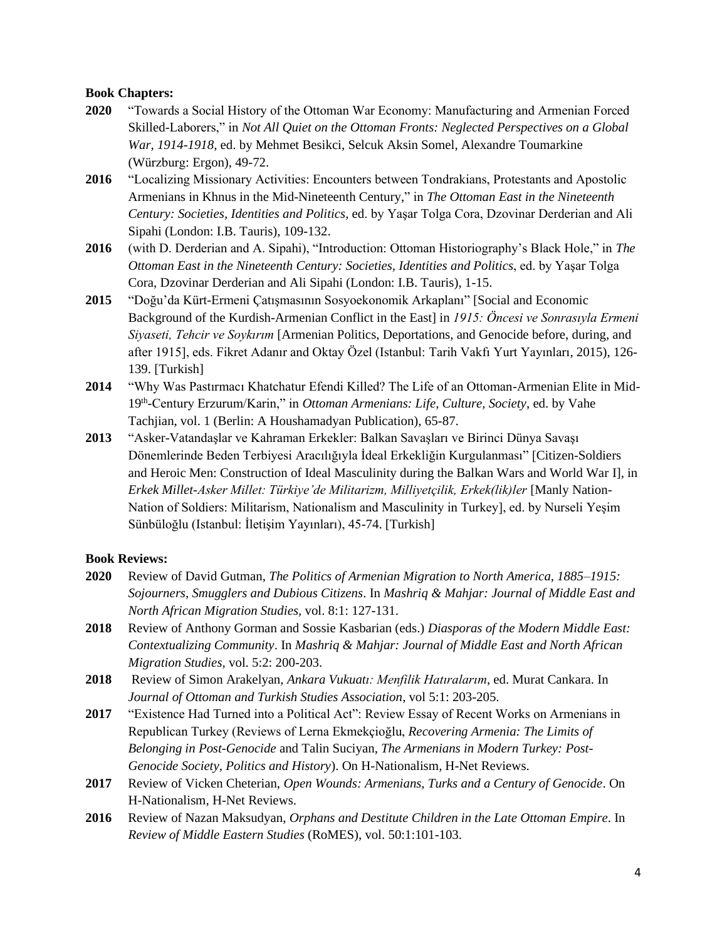## **Book Chapters:**

- **2020** "Towards a Social History of the Ottoman War Economy: Manufacturing and Armenian Forced Skilled-Laborers," in *Not All Quiet on the Ottoman Fronts: Neglected Perspectives on a Global War, 1914-1918*, ed. by Mehmet Besikci, Selcuk Aksin Somel, Alexandre Toumarkine (Würzburg: Ergon), 49-72.
- **2016** "Localizing Missionary Activities: Encounters between Tondrakians, Protestants and Apostolic Armenians in Khnus in the Mid-Nineteenth Century," in *The Ottoman East in the Nineteenth Century: Societies, Identities and Politics*, ed. by Yaşar Tolga Cora, Dzovinar Derderian and Ali Sipahi (London: I.B. Tauris), 109-132.
- **2016** (with D. Derderian and A. Sipahi), "Introduction: Ottoman Historiography's Black Hole," in *The Ottoman East in the Nineteenth Century: Societies, Identities and Politics*, ed. by Yaşar Tolga Cora, Dzovinar Derderian and Ali Sipahi (London: I.B. Tauris), 1-15.
- **2015** "Doğu'da Kürt-Ermeni Çatışmasının Sosyoekonomik Arkaplanı" [Social and Economic Background of the Kurdish-Armenian Conflict in the East] in *1915: Öncesi ve Sonrasıyla Ermeni Siyaseti, Tehcir ve Soykırım* [Armenian Politics, Deportations, and Genocide before, during, and after 1915], eds. Fikret Adanır and Oktay Özel (Istanbul: Tarih Vakfı Yurt Yayınları, 2015), 126- 139. [Turkish]
- **2014** "Why Was Pastırmacı Khatchatur Efendi Killed? The Life of an Ottoman-Armenian Elite in Mid-19<sup>th</sup>-Century Erzurum/Karin," in *Ottoman Armenians: Life, Culture, Society*, ed. by Vahe Tachjian, vol. 1 (Berlin: A Houshamadyan Publication), 65-87.
- **2013** "Asker-Vatandaşlar ve Kahraman Erkekler: Balkan Savaşları ve Birinci Dünya Savaşı Dönemlerinde Beden Terbiyesi Aracılığıyla İdeal Erkekliğin Kurgulanması" [Citizen-Soldiers and Heroic Men: Construction of Ideal Masculinity during the Balkan Wars and World War I], in *Erkek Millet-Asker Millet: Türkiye'de Militarizm, Milliyetçilik, Erkek(lik)ler* [Manly Nation-Nation of Soldiers: Militarism, Nationalism and Masculinity in Turkey], ed. by Nurseli Yeşim Sünbüloğlu (Istanbul: İletişim Yayınları), 45-74. [Turkish]

# **Book Reviews:**

- **2020** Review of David Gutman, *The Politics of Armenian Migration to North America, 1885–1915: Sojourners, Smugglers and Dubious Citizens*. In *Mashriq & Mahjar: Journal of Middle East and North African Migration Studies,* vol. 8:1: 127-131.
- **2018** Review of Anthony Gorman and Sossie Kasbarian (eds.) *Diasporas of the Modern Middle East: Contextualizing Community*. In *Mashriq & Mahjar: Journal of Middle East and North African Migration Studies,* vol. 5:2: 200-203.
- **2018** Review of Simon Arakelyan, *Ankara Vukuatı: Menfilik Hatıralarım*, ed. Murat Cankara. In *Journal of Ottoman and Turkish Studies Association*, vol 5:1: 203-205.
- **2017** "Existence Had Turned into a Political Act": Review Essay of Recent Works on Armenians in Republican Turkey (Reviews of Lerna Ekmekçioğlu, *Recovering Armenia: The Limits of Belonging in Post-Genocide* and Talin Suciyan, *The Armenians in Modern Turkey: Post-Genocide Society, Politics and History*). On H-Nationalism, H-Net Reviews.
- **2017** Review of Vicken Cheterian, *Open Wounds: Armenians, Turks and a Century of Genocide*. On H-Nationalism, H-Net Reviews.
- **2016** Review of Nazan Maksudyan, *Orphans and Destitute Children in the Late Ottoman Empire*. In *Review of Middle Eastern Studies* (RoMES), vol. 50:1:101-103.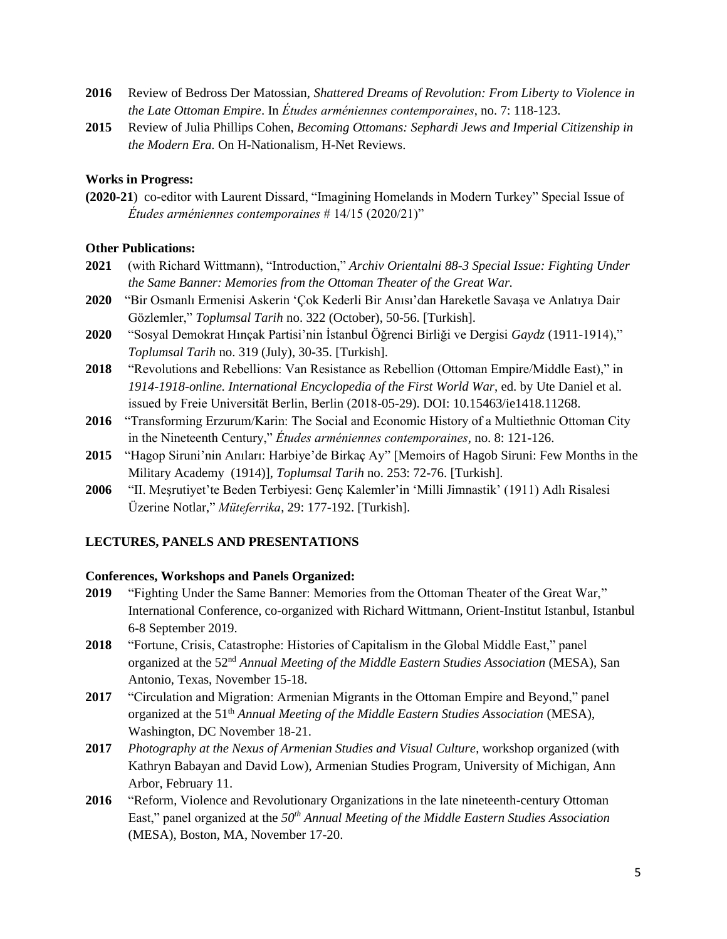- **2016** Review of Bedross Der Matossian, *Shattered Dreams of Revolution: From Liberty to Violence in the Late Ottoman Empire*. In *Études arméniennes contemporaines*, no. 7: 118-123.
- **2015** Review of Julia Phillips Cohen, *Becoming Ottomans: Sephardi Jews and Imperial Citizenship in the Modern Era.* On H-Nationalism, H-Net Reviews.

#### **Works in Progress:**

**(2020-21**) co-editor with Laurent Dissard, "Imagining Homelands in Modern Turkey" Special Issue of *Études arméniennes contemporaines* # 14/15 (2020/21)"

#### **Other Publications:**

- **2021** (with Richard Wittmann), "Introduction," *Archiv Orientalni 88-3 Special Issue: Fighting Under the Same Banner: Memories from the Ottoman Theater of the Great War.*
- **2020** "Bir Osmanlı Ermenisi Askerin 'Çok Kederli Bir Anısı'dan Hareketle Savaşa ve Anlatıya Dair Gözlemler," *Toplumsal Tarih* no. 322 (October), 50-56. [Turkish].
- **2020** "Sosyal Demokrat Hınçak Partisi'nin İstanbul Öğrenci Birliği ve Dergisi *Gaydz* (1911-1914)," *Toplumsal Tarih* no. 319 (July), 30-35. [Turkish].
- **2018** "Revolutions and Rebellions: Van Resistance as Rebellion (Ottoman Empire/Middle East)," in *1914-1918-online. International Encyclopedia of the First World War*, ed. by Ute Daniel et al. issued by Freie Universität Berlin, Berlin (2018-05-29). DOI: 10.15463/ie1418.11268.
- **2016** "Transforming Erzurum/Karin: The Social and Economic History of a Multiethnic Ottoman City in the Nineteenth Century," *Études arméniennes contemporaines*, no. 8: 121-126.
- **2015** "Hagop Siruni'nin Anıları: Harbiye'de Birkaç Ay" [Memoirs of Hagob Siruni: Few Months in the Military Academy (1914)], *Toplumsal Tarih* no. 253: 72-76. [Turkish].
- **2006** "II. Meşrutiyet'te Beden Terbiyesi: Genç Kalemler'in 'Milli Jimnastik' (1911) Adlı Risalesi Üzerine Notlar," *Müteferrika*, 29: 177-192. [Turkish].

#### **LECTURES, PANELS AND PRESENTATIONS**

#### **Conferences, Workshops and Panels Organized:**

- **2019** "Fighting Under the Same Banner: Memories from the Ottoman Theater of the Great War," International Conference, co-organized with Richard Wittmann, Orient-Institut Istanbul, Istanbul 6-8 September 2019.
- **2018** "Fortune, Crisis, Catastrophe: Histories of Capitalism in the Global Middle East," panel organized at the 52<sup>nd</sup> Annual Meeting of the Middle Eastern Studies Association (MESA), San Antonio, Texas, November 15-18.
- **2017** "Circulation and Migration: Armenian Migrants in the Ottoman Empire and Beyond," panel organized at the 51th *Annual Meeting of the Middle Eastern Studies Association* (MESA), Washington, DC November 18-21.
- **2017** *Photography at the Nexus of Armenian Studies and Visual Culture*, workshop organized (with Kathryn Babayan and David Low), Armenian Studies Program, University of Michigan, Ann Arbor, February 11.
- **2016** "Reform, Violence and Revolutionary Organizations in the late nineteenth-century Ottoman East," panel organized at the *50th Annual Meeting of the Middle Eastern Studies Association*  (MESA), Boston, MA, November 17-20.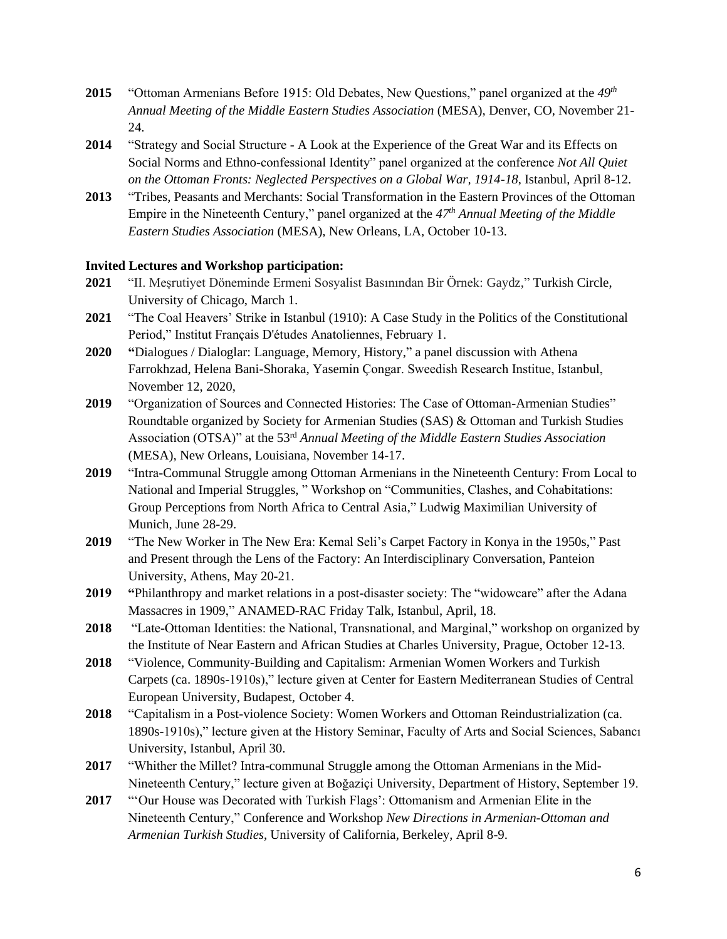- **2015** "Ottoman Armenians Before 1915: Old Debates, New Questions," panel organized at the *49th Annual Meeting of the Middle Eastern Studies Association* (MESA), Denver, CO, November 21- 24.
- **2014** "Strategy and Social Structure A Look at the Experience of the Great War and its Effects on Social Norms and Ethno-confessional Identity" panel organized at the conference *Not All Quiet on the Ottoman Fronts: Neglected Perspectives on a Global War, 1914-18*, Istanbul, April 8-12.
- **2013** "Tribes, Peasants and Merchants: Social Transformation in the Eastern Provinces of the Ottoman Empire in the Nineteenth Century," panel organized at the *47th Annual Meeting of the Middle Eastern Studies Association* (MESA), New Orleans, LA, October 10-13.

## **Invited Lectures and Workshop participation:**

- **2021** "II. Meşrutiyet Döneminde Ermeni Sosyalist Basınından Bir Örnek: Gaydz," Turkish Circle, University of Chicago, March 1.
- **2021** "The Coal Heavers' Strike in Istanbul (1910): A Case Study in the Politics of the Constitutional Period," Institut Français D'études Anatoliennes, February 1.
- **2020 "**Dialogues / Dialoglar: Language, Memory, History," a panel discussion with Athena Farrokhzad, Helena Bani-Shoraka, Yasemin Çongar. Sweedish Research Institue, Istanbul, November 12, 2020,
- **2019** "Organization of Sources and Connected Histories: The Case of Ottoman-Armenian Studies" Roundtable organized by Society for Armenian Studies (SAS) & Ottoman and Turkish Studies Association (OTSA)" at the 53<sup>rd</sup> Annual Meeting of the Middle Eastern Studies Association (MESA), New Orleans, Louisiana, November 14-17.
- **2019** "Intra-Communal Struggle among Ottoman Armenians in the Nineteenth Century: From Local to National and Imperial Struggles, " Workshop on "Communities, Clashes, and Cohabitations: Group Perceptions from North Africa to Central Asia," Ludwig Maximilian University of Munich, June 28-29.
- **2019** "The New Worker in The New Era: Kemal Seli's Carpet Factory in Konya in the 1950s," Past and Present through the Lens of the Factory: An Interdisciplinary Conversation, Panteion University, Athens, May 20-21.
- **2019 "**Philanthropy and market relations in a post-disaster society: The "widowcare" after the Adana Massacres in 1909," ANAMED-RAC Friday Talk, Istanbul, April, 18.
- **2018** "Late-Ottoman Identities: the National, Transnational, and Marginal," workshop on organized by the Institute of Near Eastern and African Studies at Charles University, Prague, October 12-13.
- **2018** "Violence, Community-Building and Capitalism: Armenian Women Workers and Turkish Carpets (ca. 1890s-1910s)," lecture given at Center for Eastern Mediterranean Studies of Central European University, Budapest, October 4.
- **2018** "Capitalism in a Post-violence Society: Women Workers and Ottoman Reindustrialization (ca. 1890s-1910s)," lecture given at the History Seminar, Faculty of Arts and Social Sciences, Sabancı University, Istanbul, April 30.
- **2017** "Whither the Millet? Intra-communal Struggle among the Ottoman Armenians in the Mid-Nineteenth Century," lecture given at Boğaziçi University, Department of History, September 19.
- **2017** "'Our House was Decorated with Turkish Flags': Ottomanism and Armenian Elite in the Nineteenth Century," Conference and Workshop *New Directions in Armenian-Ottoman and Armenian Turkish Studies*, University of California, Berkeley, April 8-9.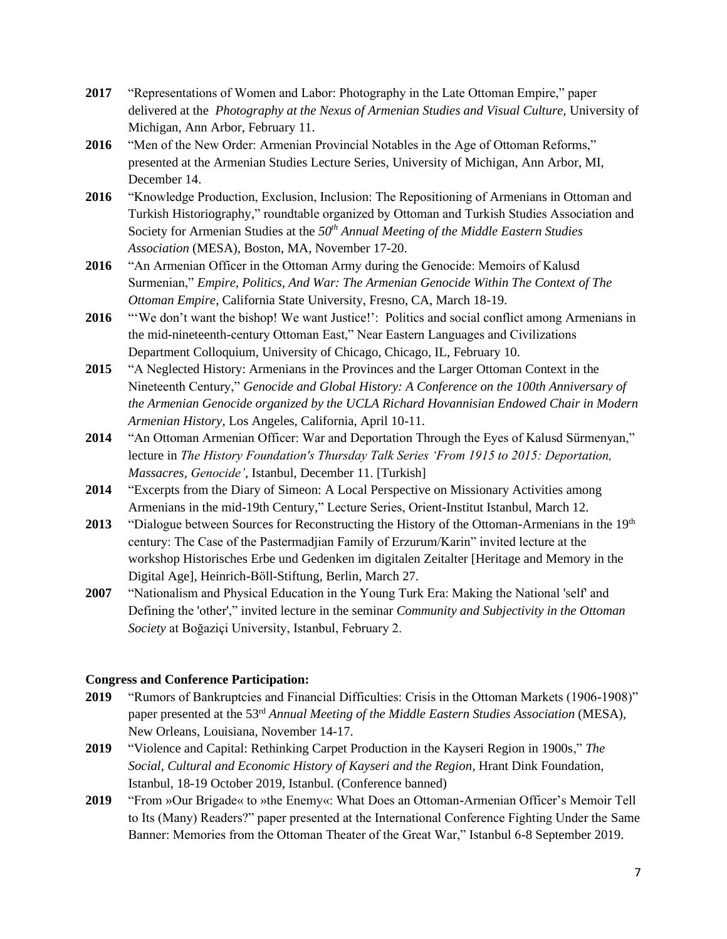- **2017** "Representations of Women and Labor: Photography in the Late Ottoman Empire," paper delivered at the *Photography at the Nexus of Armenian Studies and Visual Culture,* University of Michigan, Ann Arbor, February 11.
- **2016** "Men of the New Order: Armenian Provincial Notables in the Age of Ottoman Reforms," presented at the Armenian Studies Lecture Series, University of Michigan, Ann Arbor, MI, December 14.
- **2016** "Knowledge Production, Exclusion, Inclusion: The Repositioning of Armenians in Ottoman and Turkish Historiography," roundtable organized by Ottoman and Turkish Studies Association and Society for Armenian Studies at the *50th Annual Meeting of the Middle Eastern Studies Association* (MESA), Boston, MA, November 17-20.
- **2016** "An Armenian Officer in the Ottoman Army during the Genocide: Memoirs of Kalusd Surmenian," *Empire, Politics, And War: The Armenian Genocide Within The Context of The Ottoman Empire*, California State University, Fresno, CA, March 18-19.
- **2016** "'We don't want the bishop! We want Justice!': Politics and social conflict among Armenians in the mid-nineteenth-century Ottoman East," Near Eastern Languages and Civilizations Department Colloquium, University of Chicago, Chicago, IL, February 10.
- **2015** "A Neglected History: Armenians in the Provinces and the Larger Ottoman Context in the Nineteenth Century," *Genocide and Global History: A Conference on the 100th Anniversary of the Armenian Genocide organized by the UCLA Richard Hovannisian Endowed Chair in Modern Armenian History*, Los Angeles, California, April 10-11.
- **2014** "An Ottoman Armenian Officer: War and Deportation Through the Eyes of Kalusd Sürmenyan," lecture in *The History Foundation's Thursday Talk Series 'From 1915 to 2015: Deportation, Massacres, Genocide'*, Istanbul, December 11. [Turkish]
- **2014** "Excerpts from the Diary of Simeon: A Local Perspective on Missionary Activities among Armenians in the mid-19th Century," Lecture Series, Orient-Institut Istanbul, March 12.
- 2013 **"Dialogue between Sources for Reconstructing the History of the Ottoman-Armenians in the 19th** century: The Case of the Pastermadjian Family of Erzurum/Karin" invited lecture at the workshop Historisches Erbe und Gedenken im digitalen Zeitalter [Heritage and Memory in the Digital Age], Heinrich-Böll-Stiftung, Berlin, March 27.
- **2007** "Nationalism and Physical Education in the Young Turk Era: Making the National 'self' and Defining the 'other'," invited lecture in the seminar *Community and Subjectivity in the Ottoman Society* at Boğaziçi University, Istanbul, February 2.

## **Congress and Conference Participation:**

- **2019** "Rumors of Bankruptcies and Financial Difficulties: Crisis in the Ottoman Markets (1906-1908)" paper presented at the 53 rd *Annual Meeting of the Middle Eastern Studies Association* (MESA), New Orleans, Louisiana, November 14-17.
- **2019** "Violence and Capital: Rethinking Carpet Production in the Kayseri Region in 1900s," *The Social, Cultural and Economic History of Kayseri and the Region*, Hrant Dink Foundation, Istanbul, 18-19 October 2019, Istanbul. (Conference banned)
- **2019** "From »Our Brigade« to »the Enemy«: What Does an Ottoman-Armenian Officer's Memoir Tell to Its (Many) Readers?" paper presented at the International Conference Fighting Under the Same Banner: Memories from the Ottoman Theater of the Great War," Istanbul 6-8 September 2019.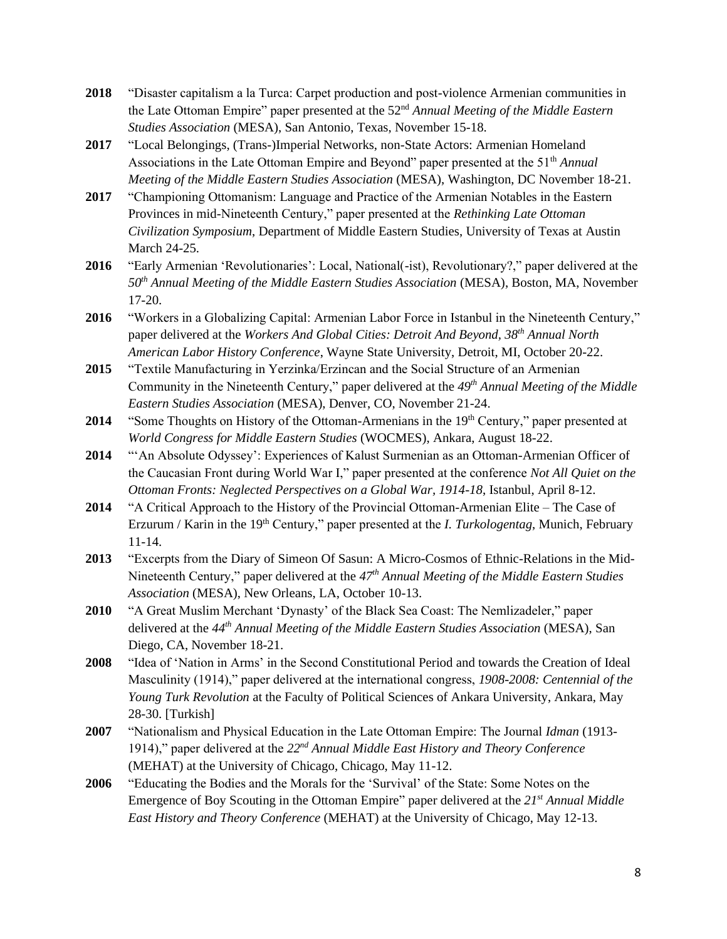- **2018** "Disaster capitalism a la Turca: Carpet production and post-violence Armenian communities in the Late Ottoman Empire" paper presented at the 52nd *Annual Meeting of the Middle Eastern Studies Association* (MESA), San Antonio, Texas, November 15-18.
- **2017** "Local Belongings, (Trans-)Imperial Networks, non-State Actors: Armenian Homeland Associations in the Late Ottoman Empire and Beyond" paper presented at the 51<sup>th</sup> *Annual Meeting of the Middle Eastern Studies Association* (MESA), Washington, DC November 18-21.
- **2017** "Championing Ottomanism: Language and Practice of the Armenian Notables in the Eastern Provinces in mid-Nineteenth Century," paper presented at the *Rethinking Late Ottoman Civilization Symposium*, Department of Middle Eastern Studies, University of Texas at Austin March 24-25.
- **2016** "Early Armenian 'Revolutionaries': Local, National(-ist), Revolutionary?," paper delivered at the *50th Annual Meeting of the Middle Eastern Studies Association* (MESA), Boston, MA, November 17-20.
- **2016** "Workers in a Globalizing Capital: Armenian Labor Force in Istanbul in the Nineteenth Century," paper delivered at the *Workers And Global Cities: Detroit And Beyond, 38th Annual North American Labor History Conference*, Wayne State University, Detroit, MI, October 20-22.
- **2015** "Textile Manufacturing in Yerzinka/Erzincan and the Social Structure of an Armenian Community in the Nineteenth Century," paper delivered at the *49th Annual Meeting of the Middle Eastern Studies Association* (MESA), Denver, CO, November 21-24.
- **2014** "Some Thoughts on History of the Ottoman-Armenians in the 19<sup>th</sup> Century," paper presented at *World Congress for Middle Eastern Studies* (WOCMES), Ankara, August 18-22.
- **2014** "'An Absolute Odyssey': Experiences of Kalust Surmenian as an Ottoman-Armenian Officer of the Caucasian Front during World War I," paper presented at the conference *Not All Quiet on the Ottoman Fronts: Neglected Perspectives on a Global War, 1914-18*, Istanbul, April 8-12.
- **2014** "A Critical Approach to the History of the Provincial Ottoman-Armenian Elite The Case of Erzurum / Karin in the 19<sup>th</sup> Century," paper presented at the *I. Turkologentag*, Munich, February 11-14.
- **2013** "Excerpts from the Diary of Simeon Of Sasun: A Micro-Cosmos of Ethnic-Relations in the Mid-Nineteenth Century," paper delivered at the *47th Annual Meeting of the Middle Eastern Studies Association* (MESA), New Orleans, LA, October 10-13.
- **2010** "A Great Muslim Merchant 'Dynasty' of the Black Sea Coast: The Nemlizadeler," paper delivered at the *44th Annual Meeting of the Middle Eastern Studies Association* (MESA), San Diego, CA, November 18-21.
- **2008** "Idea of 'Nation in Arms' in the Second Constitutional Period and towards the Creation of Ideal Masculinity (1914)," paper delivered at the international congress, *1908-2008: Centennial of the Young Turk Revolution* at the Faculty of Political Sciences of Ankara University, Ankara, May 28-30. [Turkish]
- **2007** "Nationalism and Physical Education in the Late Ottoman Empire: The Journal *Idman* (1913- 1914)," paper delivered at the *22nd Annual Middle East History and Theory Conference*  (MEHAT) at the University of Chicago, Chicago, May 11-12.
- **2006** "Educating the Bodies and the Morals for the 'Survival' of the State: Some Notes on the Emergence of Boy Scouting in the Ottoman Empire" paper delivered at the *21st Annual Middle East History and Theory Conference* (MEHAT) at the University of Chicago, May 12-13.